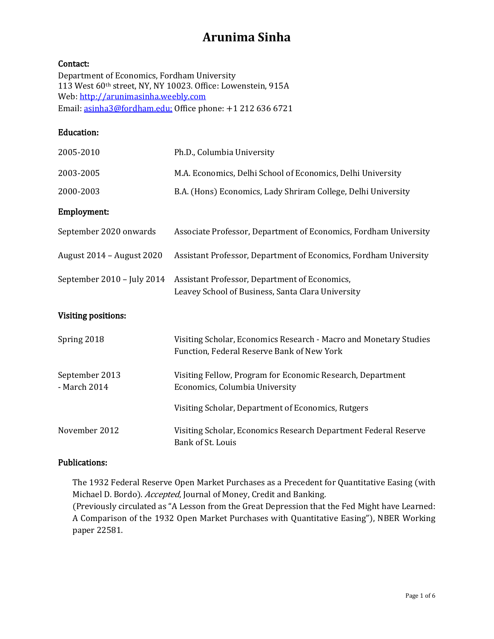## Contact:

Department of Economics, Fordham University 113 West 60th street, NY, NY 10023. Office: Lowenstein, 915A Web: [http://arunimasinha.weebly.com](http://arunimasinha.weebly.com/index.html) Email: [asinha3@fordham.edu;](mailto:asinha3@fordham.edu) Office phone: +1 212 636 6721

#### Education:

| 2005-2010                      | Ph.D., Columbia University                                                                                      |
|--------------------------------|-----------------------------------------------------------------------------------------------------------------|
| 2003-2005                      | M.A. Economics, Delhi School of Economics, Delhi University                                                     |
| 2000-2003                      | B.A. (Hons) Economics, Lady Shriram College, Delhi University                                                   |
| Employment:                    |                                                                                                                 |
| September 2020 onwards         | Associate Professor, Department of Economics, Fordham University                                                |
| August 2014 - August 2020      | Assistant Professor, Department of Economics, Fordham University                                                |
| September 2010 - July 2014     | Assistant Professor, Department of Economics,<br>Leavey School of Business, Santa Clara University              |
|                                |                                                                                                                 |
| <b>Visiting positions:</b>     |                                                                                                                 |
| Spring 2018                    | Visiting Scholar, Economics Research - Macro and Monetary Studies<br>Function, Federal Reserve Bank of New York |
| September 2013<br>- March 2014 | Visiting Fellow, Program for Economic Research, Department<br>Economics, Columbia University                    |
|                                | Visiting Scholar, Department of Economics, Rutgers                                                              |

## Publications:

The 1932 Federal Reserve Open Market Purchases as a Precedent for Quantitative Easing (with Michael D. Bordo). Accepted, Journal of Money, Credit and Banking.

(Previously circulated as "A Lesson from the Great Depression that the Fed Might have Learned: A Comparison of the 1932 Open Market Purchases with Quantitative Easing"), NBER Working paper 22581.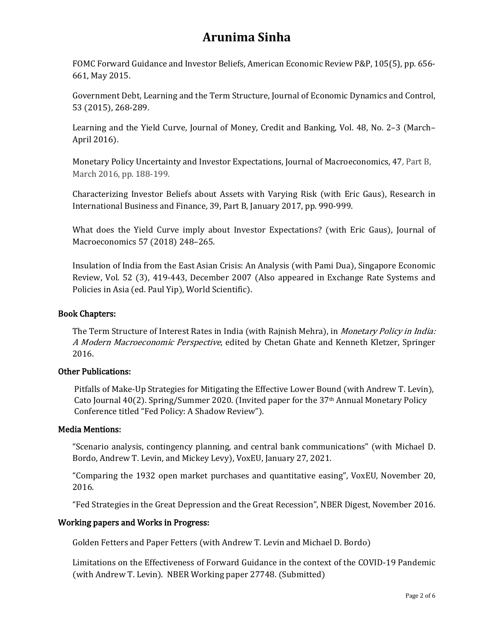FOMC Forward Guidance and Investor Beliefs, American Economic Review P&P, 105(5), pp. 656- 661, May 2015.

Government Debt, Learning and the Term Structure, Journal of Economic Dynamics and Control, 53 (2015), 268-289.

Learning and the Yield Curve, Journal of Money, Credit and Banking, Vol. 48, No. 2–3 (March– April 2016).

Monetary Policy Uncertainty and Investor Expectations, Journal of Macroeconomics, 47, Part B, March 2016, pp. 188-199.

Characterizing Investor Beliefs about Assets with Varying Risk (with Eric Gaus), Research in International Business and Finance, 39, Part B, January 2017, pp. 990-999.

What does the Yield Curve imply about Investor Expectations? (with Eric Gaus), Journal of Macroeconomics 57 (2018) 248–265.

Insulation of India from the East Asian Crisis: An Analysis (with Pami Dua), Singapore Economic Review, Vol. 52 (3), 419-443, December 2007 (Also appeared in Exchange Rate Systems and Policies in Asia (ed. Paul Yip), World Scientific).

## Book Chapters:

The Term Structure of Interest Rates in India (with Rajnish Mehra), in *Monetary Policy in India:* A Modern Macroeconomic Perspective, edited by Chetan Ghate and Kenneth Kletzer, Springer 2016.

## Other Publications:

Pitfalls of Make-Up Strategies for Mitigating the Effective Lower Bound (with Andrew T. Levin), Cato Journal 40(2). Spring/Summer 2020. (Invited paper for the 37th Annual Monetary Policy Conference titled "Fed Policy: A Shadow Review").

## Media Mentions:

"Scenario analysis, contingency planning, and central bank communications" (with Michael D. Bordo, Andrew T. Levin, and Mickey Levy), VoxEU, January 27, 2021.

"Comparing the 1932 open market purchases and quantitative easing", VoxEU, November 20, 2016.

"Fed Strategies in the Great Depression and the Great Recession", NBER Digest, November 2016.

## Working papers and Works in Progress:

Golden Fetters and Paper Fetters (with Andrew T. Levin and Michael D. Bordo)

Limitations on the Effectiveness of Forward Guidance in the context of the COVID-19 Pandemic (with Andrew T. Levin). NBER Working paper 27748. (Submitted)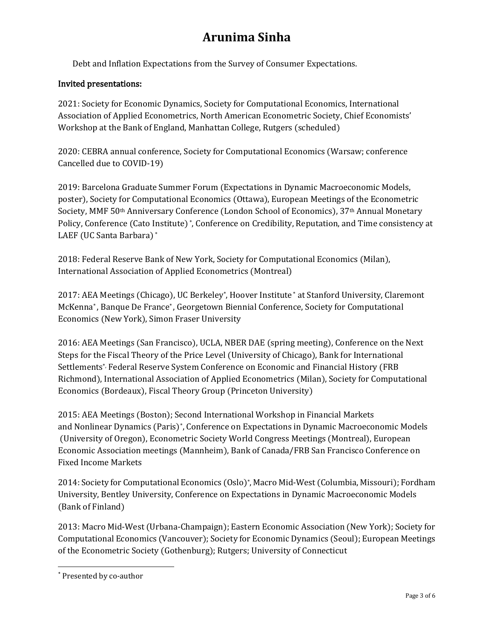Debt and Inflation Expectations from the Survey of Consumer Expectations.

## Invited presentations:

2021: Society for Economic Dynamics, Society for Computational Economics, International Association of Applied Econometrics, North American Econometric Society, Chief Economists' Workshop at the Bank of England, Manhattan College, Rutgers (scheduled)

2020: CEBRA annual conference, Society for Computational Economics (Warsaw; conference Cancelled due to COVID-19)

2019: Barcelona Graduate Summer Forum (Expectations in Dynamic Macroeconomic Models, poster), Society for Computational Economics (Ottawa), European Meetings of the Econometric Society, MMF 50th Anniversary Conference (London School of Economics), 37th Annual Monetary Policy, Conference (Cato Institute) \*, Conference on Credibility, Reputation, and Time consistency at LAEF (UC Santa Barbara) \*

2018: Federal Reserve Bank of New York, Society for Computational Economics (Milan), International Association of Applied Econometrics (Montreal)

2017: AEA Meetings (Chicago), UC Berkeley\*, Hoover Institute \* at Stanford University, Claremont McKenna\* , Banque De France\* , Georgetown Biennial Conference, Society for Computational Economics (New York), Simon Fraser University

2016: AEA Meetings (San Francisco), UCLA, NBER DAE (spring meeting), Conference on the Next Steps for the Fiscal Theory of the Price Level (University of Chicago), Bank for International Settlements\*, Federal Reserve System Conference on Economic and Financial History (FRB Richmond), International Association of Applied Econometrics (Milan), Society for Computational Economics (Bordeaux), Fiscal Theory Group (Princeton University)

2015: AEA Meetings (Boston); Second International Workshop in Financial Markets and Nonlinear Dynamics (Paris)[\\*,](#page-2-0) Conference on Expectations in Dynamic Macroeconomic Models (University of Oregon), Econometric Society World Congress Meetings (Montreal), European Economic Association meetings (Mannheim), Bank of Canada/FRB San Francisco Conference on Fixed Income Markets

2014: Society for Computational Economics (Oslo)\*, Macro Mid-West (Columbia, Missouri); Fordham University, Bentley University, Conference on Expectations in Dynamic Macroeconomic Models (Bank of Finland)

2013: Macro Mid-West (Urbana-Champaign); Eastern Economic Association (New York); Society for Computational Economics (Vancouver); Society for Economic Dynamics (Seoul); European Meetings of the Econometric Society (Gothenburg); Rutgers; University of Connecticut

<span id="page-2-0"></span><sup>\*</sup> Presented by co-author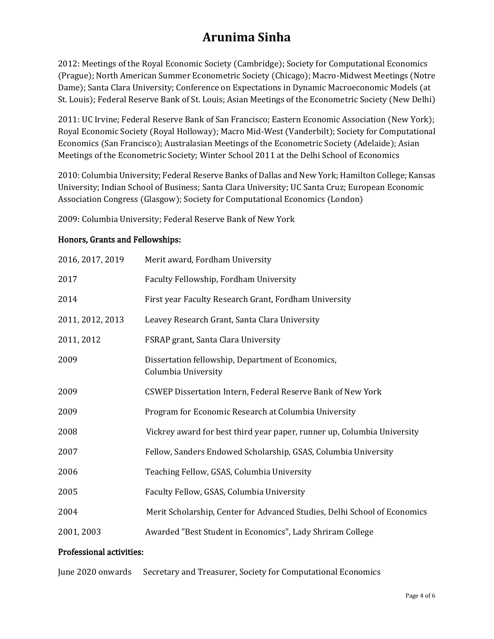2012: Meetings of the Royal Economic Society (Cambridge); Society for Computational Economics (Prague); North American Summer Econometric Society (Chicago); Macro-Midwest Meetings (Notre Dame); Santa Clara University; Conference on Expectations in Dynamic Macroeconomic Models (at St. Louis); Federal Reserve Bank of St. Louis; Asian Meetings of the Econometric Society (New Delhi)

2011: UC Irvine; Federal Reserve Bank of San Francisco; Eastern Economic Association (New York); Royal Economic Society (Royal Holloway); Macro Mid-West (Vanderbilt); Society for Computational Economics (San Francisco); Australasian Meetings of the Econometric Society (Adelaide); Asian Meetings of the Econometric Society; Winter School 2011 at the Delhi School of Economics

2010: Columbia University; Federal Reserve Banks of Dallas and New York; Hamilton College; Kansas University; Indian School of Business; Santa Clara University; UC Santa Cruz; European Economic Association Congress (Glasgow); Society for Computational Economics (London)

2009: Columbia University; Federal Reserve Bank of New York

## Honors, Grants and Fellowships:

| 2016, 2017, 2019 | Merit award, Fordham University                                           |
|------------------|---------------------------------------------------------------------------|
| 2017             | Faculty Fellowship, Fordham University                                    |
| 2014             | First year Faculty Research Grant, Fordham University                     |
| 2011, 2012, 2013 | Leavey Research Grant, Santa Clara University                             |
| 2011, 2012       | FSRAP grant, Santa Clara University                                       |
| 2009             | Dissertation fellowship, Department of Economics,<br>Columbia University  |
| 2009             | CSWEP Dissertation Intern, Federal Reserve Bank of New York               |
| 2009             | Program for Economic Research at Columbia University                      |
| 2008             | Vickrey award for best third year paper, runner up, Columbia University   |
| 2007             | Fellow, Sanders Endowed Scholarship, GSAS, Columbia University            |
| 2006             | Teaching Fellow, GSAS, Columbia University                                |
| 2005             | Faculty Fellow, GSAS, Columbia University                                 |
| 2004             | Merit Scholarship, Center for Advanced Studies, Delhi School of Economics |
| 2001, 2003       | Awarded "Best Student in Economics", Lady Shriram College                 |

## Professional activities:

June 2020 onwards Secretary and Treasurer, Society for Computational Economics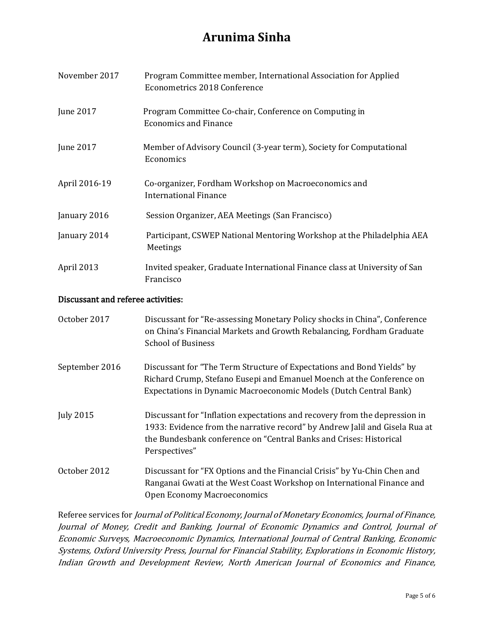| November 2017                      | Program Committee member, International Association for Applied<br><b>Econometrics 2018 Conference</b>                                                                                                                                                                                                                                                                                                                                                             |
|------------------------------------|--------------------------------------------------------------------------------------------------------------------------------------------------------------------------------------------------------------------------------------------------------------------------------------------------------------------------------------------------------------------------------------------------------------------------------------------------------------------|
| June 2017                          | Program Committee Co-chair, Conference on Computing in<br><b>Economics and Finance</b>                                                                                                                                                                                                                                                                                                                                                                             |
| June 2017                          | Member of Advisory Council (3-year term), Society for Computational<br>Economics                                                                                                                                                                                                                                                                                                                                                                                   |
| April 2016-19                      | Co-organizer, Fordham Workshop on Macroeconomics and<br><b>International Finance</b>                                                                                                                                                                                                                                                                                                                                                                               |
| January 2016                       | Session Organizer, AEA Meetings (San Francisco)                                                                                                                                                                                                                                                                                                                                                                                                                    |
| January 2014                       | Participant, CSWEP National Mentoring Workshop at the Philadelphia AEA<br>Meetings                                                                                                                                                                                                                                                                                                                                                                                 |
| April 2013                         | Invited speaker, Graduate International Finance class at University of San<br>Francisco                                                                                                                                                                                                                                                                                                                                                                            |
| Discussant and referee activities: |                                                                                                                                                                                                                                                                                                                                                                                                                                                                    |
| October 2017                       | Discussant for "Re-assessing Monetary Policy shocks in China", Conference<br>$\overline{C}$ , $\overline{C}$ , $\overline{C}$ , $\overline{C}$ , $\overline{C}$ , $\overline{C}$ , $\overline{C}$ , $\overline{C}$ , $\overline{C}$ , $\overline{C}$ , $\overline{C}$ , $\overline{C}$ , $\overline{C}$ , $\overline{C}$ , $\overline{C}$ , $\overline{C}$ , $\overline{C}$ , $\overline{C}$ , $\overline{C}$ , $\overline{C}$ , $\overline{C}$ , $\overline{C}$ , |

|                  | on China's Financial Markets and Growth Rebalancing, Fordham Graduate<br><b>School of Business</b>                                                                                                                                               |
|------------------|--------------------------------------------------------------------------------------------------------------------------------------------------------------------------------------------------------------------------------------------------|
| September 2016   | Discussant for "The Term Structure of Expectations and Bond Yields" by<br>Richard Crump, Stefano Eusepi and Emanuel Moench at the Conference on<br>Expectations in Dynamic Macroeconomic Models (Dutch Central Bank)                             |
| <b>July 2015</b> | Discussant for "Inflation expectations and recovery from the depression in<br>1933: Evidence from the narrative record" by Andrew Jalil and Gisela Rua at<br>the Bundesbank conference on "Central Banks and Crises: Historical<br>Perspectives" |
| October 2012     | Discussant for "FX Options and the Financial Crisis" by Yu-Chin Chen and<br>Ranganai Gwati at the West Coast Workshop on International Finance and<br><b>Open Economy Macroeconomics</b>                                                         |

Referee services for Journal of Political Economy, Journal of Monetary Economics, Journal of Finance, Journal of Money, Credit and Banking, Journal of Economic Dynamics and Control, Journal of Economic Surveys, Macroeconomic Dynamics, International Journal of Central Banking, Economic Systems, Oxford University Press, Journal for Financial Stability, Explorations in Economic History, Indian Growth and Development Review, North American Journal of Economics and Finance,